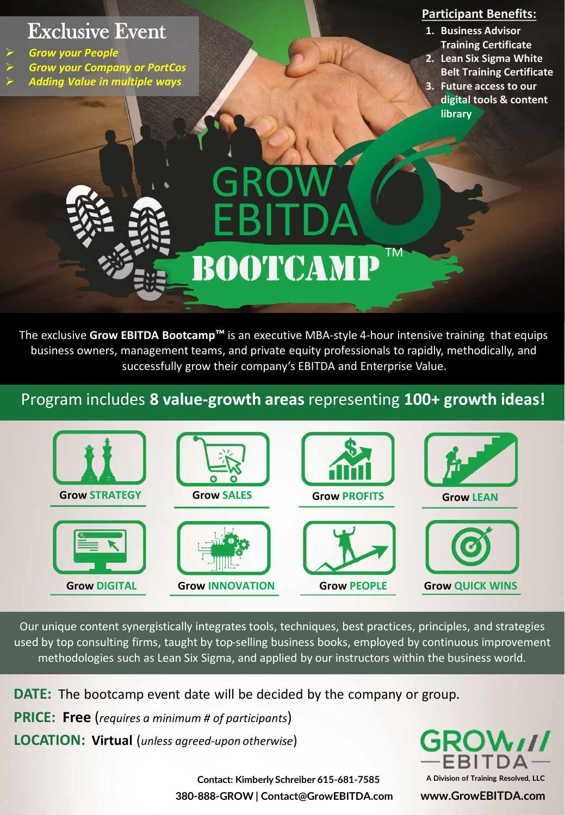# Exclusive Event

- ➢ *Grow your People*
- ➢ *Grow your Company or PortCos*
- ➢ *Adding Value in multiple ways*

#### **Participant Benefits:**

- **1. Business Advisor Training Certificate**
- **2. Lean Six Sigma White Belt Training Certificate**
- **3. Future access to our digital tools & content library**

# GROW EBITDA TM BOOTCAM

The exclusive **Grow EBITDA Bootcamp™** is an executive MBA-style 4-hour intensive training that equips business owners, management teams, and private equity professionals to rapidly, methodically, and successfully grow their company's EBITDA and Enterprise Value.

## Program includes **8 value-growth areas** representing **100+ growth ideas!**



Our unique content synergistically integrates tools, techniques, best practices, principles, and strategies used by top consulting firms, taught by top-selling business books, employed by continuous improvement methodologies such as Lean Six Sigma, and applied by our instructors within the business world.

**DATE:** The bootcamp event date will be decided by the company or group.

**PRICE: Free** (*requires a minimum # of participants*)

**LOCATION: Virtual** (*unless agreed-upon otherwise*)



**380-888-GROW | Contact@GrowEBITDA.com www.GrowEBITDA.com Contact: Kimberly Schreiber 615-681-7585 A Division of Training Resolved, LLC**